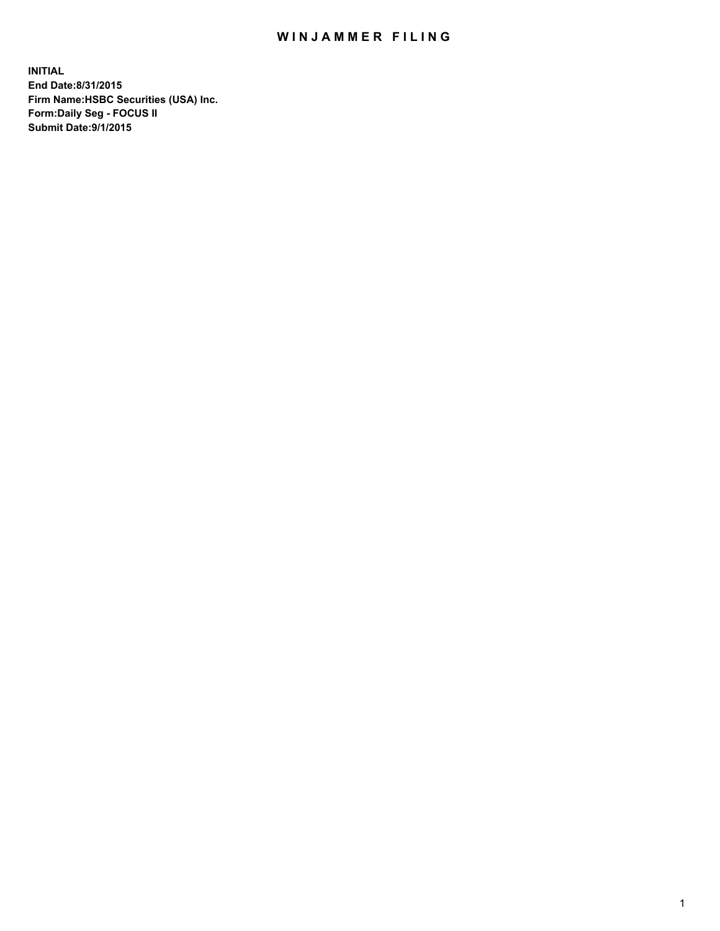## WIN JAMMER FILING

**INITIAL End Date:8/31/2015 Firm Name:HSBC Securities (USA) Inc. Form:Daily Seg - FOCUS II Submit Date:9/1/2015**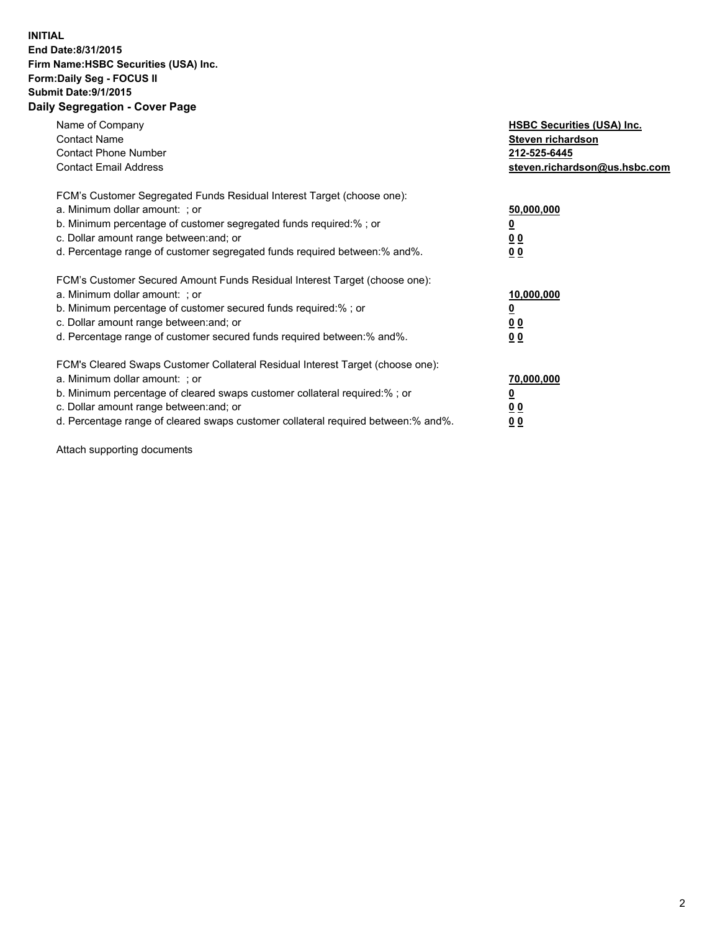## **INITIAL End Date:8/31/2015 Firm Name:HSBC Securities (USA) Inc. Form:Daily Seg - FOCUS II Submit Date:9/1/2015 Daily Segregation - Cover Page**

| Name of Company<br><b>Contact Name</b><br><b>Contact Phone Number</b><br><b>Contact Email Address</b>                                                                                                                                                                                                                         | <b>HSBC Securities (USA) Inc.</b><br>Steven richardson<br>212-525-6445<br>steven.richardson@us.hsbc.com |
|-------------------------------------------------------------------------------------------------------------------------------------------------------------------------------------------------------------------------------------------------------------------------------------------------------------------------------|---------------------------------------------------------------------------------------------------------|
| FCM's Customer Segregated Funds Residual Interest Target (choose one):<br>a. Minimum dollar amount: ; or<br>b. Minimum percentage of customer segregated funds required:%; or<br>c. Dollar amount range between: and; or<br>d. Percentage range of customer segregated funds required between:% and%.                         | 50,000,000<br>00<br>0 <sub>0</sub>                                                                      |
| FCM's Customer Secured Amount Funds Residual Interest Target (choose one):<br>a. Minimum dollar amount: ; or<br>b. Minimum percentage of customer secured funds required:%; or<br>c. Dollar amount range between: and; or<br>d. Percentage range of customer secured funds required between:% and%.                           | 10,000,000<br>0 <sub>0</sub><br>00                                                                      |
| FCM's Cleared Swaps Customer Collateral Residual Interest Target (choose one):<br>a. Minimum dollar amount: ; or<br>b. Minimum percentage of cleared swaps customer collateral required:%; or<br>c. Dollar amount range between: and; or<br>d. Percentage range of cleared swaps customer collateral required between:% and%. | 70,000,000<br><u>00</u><br><u>00</u>                                                                    |

Attach supporting documents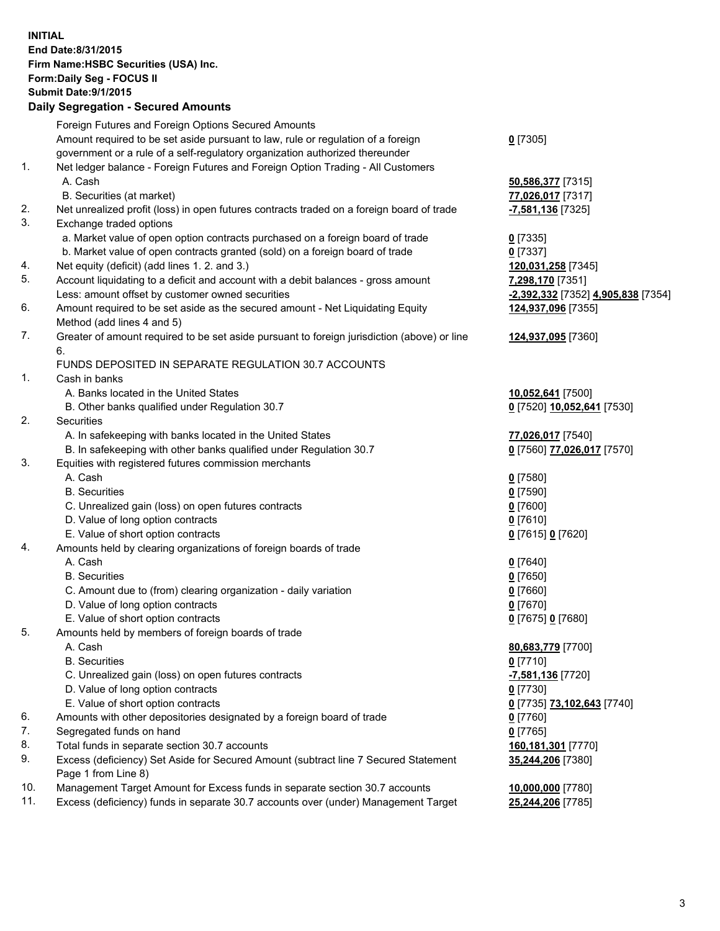**INITIAL End Date:8/31/2015 Firm Name:HSBC Securities (USA) Inc. Form:Daily Seg - FOCUS II Submit Date:9/1/2015 Daily Segregation - Secured Amounts** Foreign Futures and Foreign Options Secured Amounts Amount required to be set aside pursuant to law, rule or regulation of a foreign government or a rule of a self-regulatory organization authorized thereunder **0** [7305] 1. Net ledger balance - Foreign Futures and Foreign Option Trading - All Customers A. Cash **50,586,377** [7315] B. Securities (at market) **77,026,017** [7317] 2. Net unrealized profit (loss) in open futures contracts traded on a foreign board of trade **-7,581,136** [7325] 3. Exchange traded options a. Market value of open option contracts purchased on a foreign board of trade **0** [7335] b. Market value of open contracts granted (sold) on a foreign board of trade **0** [7337] 4. Net equity (deficit) (add lines 1. 2. and 3.) **120,031,258** [7345] 5. Account liquidating to a deficit and account with a debit balances - gross amount **7,298,170** [7351] Less: amount offset by customer owned securities **-2,392,332** [7352] **4,905,838** [7354] 6. Amount required to be set aside as the secured amount - Net Liquidating Equity Method (add lines 4 and 5) **124,937,096** [7355] 7. Greater of amount required to be set aside pursuant to foreign jurisdiction (above) or line 6. **124,937,095** [7360] FUNDS DEPOSITED IN SEPARATE REGULATION 30.7 ACCOUNTS 1. Cash in banks A. Banks located in the United States **10,052,641** [7500] B. Other banks qualified under Regulation 30.7 **0** [7520] **10,052,641** [7530] 2. Securities A. In safekeeping with banks located in the United States **77,026,017** [7540] B. In safekeeping with other banks qualified under Regulation 30.7 **0** [7560] **77,026,017** [7570] 3. Equities with registered futures commission merchants A. Cash **0** [7580] B. Securities **0** [7590] C. Unrealized gain (loss) on open futures contracts **0** [7600] D. Value of long option contracts **0** [7610] E. Value of short option contracts **0** [7615] **0** [7620] 4. Amounts held by clearing organizations of foreign boards of trade A. Cash **0** [7640] B. Securities **0** [7650] C. Amount due to (from) clearing organization - daily variation **0** [7660] D. Value of long option contracts **0** [7670] E. Value of short option contracts **0** [7675] **0** [7680] 5. Amounts held by members of foreign boards of trade A. Cash **80,683,779** [7700] B. Securities **0** [7710] C. Unrealized gain (loss) on open futures contracts **-7,581,136** [7720] D. Value of long option contracts **0** [7730] E. Value of short option contracts **0** [7735] **73,102,643** [7740] 6. Amounts with other depositories designated by a foreign board of trade **0** [7760] 7. Segregated funds on hand **0** [7765] 8. Total funds in separate section 30.7 accounts **160,181,301** [7770] 9. Excess (deficiency) Set Aside for Secured Amount (subtract line 7 Secured Statement Page 1 from Line 8) **35,244,206** [7380] 10. Management Target Amount for Excess funds in separate section 30.7 accounts **10,000,000** [7780] 11. Excess (deficiency) funds in separate 30.7 accounts over (under) Management Target **25,244,206** [7785]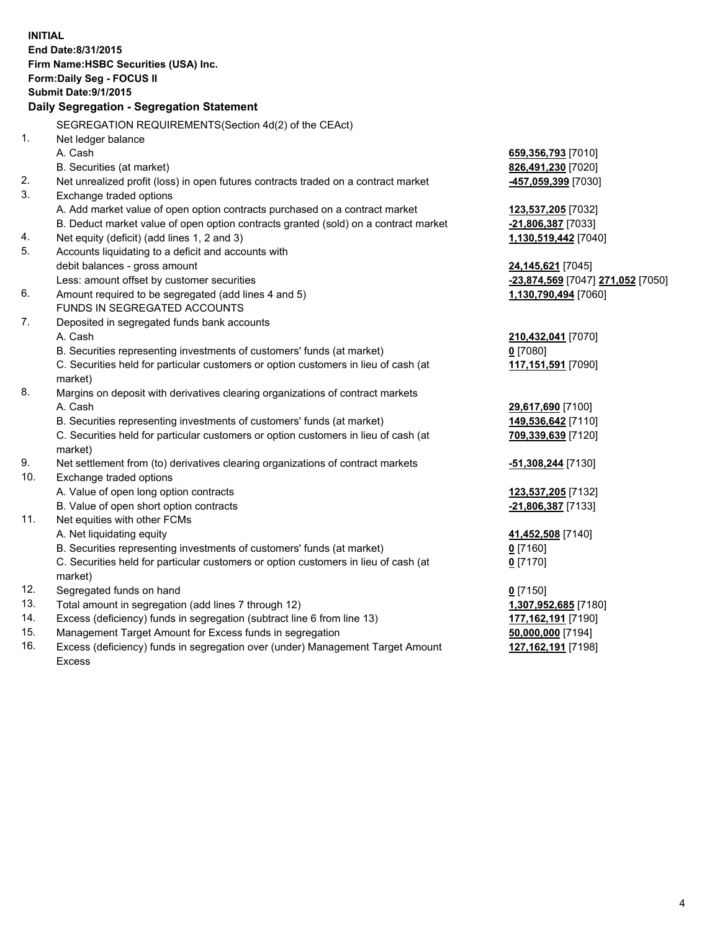| <b>INITIAL</b>                        |                                                                                      |                                                           |  |  |  |
|---------------------------------------|--------------------------------------------------------------------------------------|-----------------------------------------------------------|--|--|--|
| End Date: 8/31/2015                   |                                                                                      |                                                           |  |  |  |
| Firm Name: HSBC Securities (USA) Inc. |                                                                                      |                                                           |  |  |  |
|                                       | Form: Daily Seg - FOCUS II                                                           |                                                           |  |  |  |
|                                       | <b>Submit Date: 9/1/2015</b>                                                         |                                                           |  |  |  |
|                                       | Daily Segregation - Segregation Statement                                            |                                                           |  |  |  |
|                                       |                                                                                      |                                                           |  |  |  |
|                                       | SEGREGATION REQUIREMENTS(Section 4d(2) of the CEAct)                                 |                                                           |  |  |  |
| 1.                                    | Net ledger balance                                                                   |                                                           |  |  |  |
|                                       | A. Cash                                                                              | 659,356,793 [7010]                                        |  |  |  |
|                                       | B. Securities (at market)                                                            | 826,491,230 [7020]                                        |  |  |  |
| 2.                                    | Net unrealized profit (loss) in open futures contracts traded on a contract market   | -457,059,399 [7030]                                       |  |  |  |
| 3.                                    | Exchange traded options                                                              |                                                           |  |  |  |
|                                       | A. Add market value of open option contracts purchased on a contract market          | 123,537,205 [7032]                                        |  |  |  |
|                                       | B. Deduct market value of open option contracts granted (sold) on a contract market  | -21,806,387 [7033]                                        |  |  |  |
| 4.<br>5.                              | Net equity (deficit) (add lines 1, 2 and 3)                                          | 1,130,519,442 [7040]                                      |  |  |  |
|                                       | Accounts liquidating to a deficit and accounts with                                  |                                                           |  |  |  |
|                                       | debit balances - gross amount                                                        | <b>24,145,621</b> [7045]                                  |  |  |  |
| 6.                                    | Less: amount offset by customer securities                                           | -23,874,569 [7047] 271,052 [7050]<br>1,130,790,494 [7060] |  |  |  |
|                                       | Amount required to be segregated (add lines 4 and 5)<br>FUNDS IN SEGREGATED ACCOUNTS |                                                           |  |  |  |
| 7.                                    | Deposited in segregated funds bank accounts                                          |                                                           |  |  |  |
|                                       | A. Cash                                                                              |                                                           |  |  |  |
|                                       | B. Securities representing investments of customers' funds (at market)               | 210,432,041 [7070]<br>$0$ [7080]                          |  |  |  |
|                                       | C. Securities held for particular customers or option customers in lieu of cash (at  | 117,151,591 [7090]                                        |  |  |  |
|                                       | market)                                                                              |                                                           |  |  |  |
| 8.                                    | Margins on deposit with derivatives clearing organizations of contract markets       |                                                           |  |  |  |
|                                       | A. Cash                                                                              | 29,617,690 [7100]                                         |  |  |  |
|                                       | B. Securities representing investments of customers' funds (at market)               | 149,536,642 [7110]                                        |  |  |  |
|                                       | C. Securities held for particular customers or option customers in lieu of cash (at  | 709,339,639 [7120]                                        |  |  |  |
|                                       | market)                                                                              |                                                           |  |  |  |
| 9.                                    | Net settlement from (to) derivatives clearing organizations of contract markets      | <u>-51,308,244</u> [7130]                                 |  |  |  |
| 10.                                   | Exchange traded options                                                              |                                                           |  |  |  |
|                                       | A. Value of open long option contracts                                               | 123,537,205 [7132]                                        |  |  |  |
|                                       | B. Value of open short option contracts                                              | -21,806,387 [7133]                                        |  |  |  |
| 11.                                   | Net equities with other FCMs                                                         |                                                           |  |  |  |
|                                       | A. Net liquidating equity                                                            | 41,452,508 [7140]                                         |  |  |  |
|                                       | B. Securities representing investments of customers' funds (at market)               | $0$ [7160]                                                |  |  |  |
|                                       | C. Securities held for particular customers or option customers in lieu of cash (at  | $0$ [7170]                                                |  |  |  |
|                                       | market)                                                                              |                                                           |  |  |  |
| 12.                                   | Segregated funds on hand                                                             | $0$ [7150]                                                |  |  |  |
| 13.                                   | Total amount in segregation (add lines 7 through 12)                                 | 1,307,952,685 [7180]                                      |  |  |  |
| 14.                                   | Excess (deficiency) funds in segregation (subtract line 6 from line 13)              | 177,162,191 [7190]                                        |  |  |  |
| 15.                                   | Management Target Amount for Excess funds in segregation                             | 50,000,000 [7194]                                         |  |  |  |
| 16.                                   | Excess (deficiency) funds in segregation over (under) Management Target Amount       | 127, 162, 191 [7198]                                      |  |  |  |
|                                       | <b>Excess</b>                                                                        |                                                           |  |  |  |